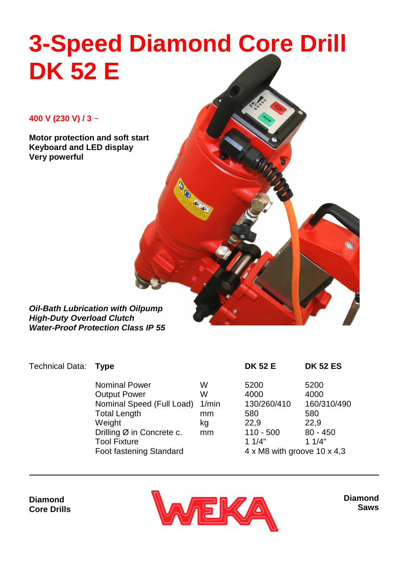## **3-Speed Diamond Core Drill DK 52 E**

**ADO AND** 

**400 V (230 V) / 3** ~

**Motor protection and soft start Keyboard and LED display Very powerful**

**Oil-Bath Lubrication with Oilpump High-Duty Overload Clutch Water-Proof Protection Class IP 55**

| Technical Data: Type |                                                                                                                                                                                          |                                                         | <b>DK 52 E</b>                                                                                                  | <b>DK 52 ES</b>                                                   |
|----------------------|------------------------------------------------------------------------------------------------------------------------------------------------------------------------------------------|---------------------------------------------------------|-----------------------------------------------------------------------------------------------------------------|-------------------------------------------------------------------|
|                      | <b>Nominal Power</b><br><b>Output Power</b><br>Nominal Speed (Full Load)<br><b>Total Length</b><br>Weight<br>Drilling Ø in Concrete c.<br><b>Tool Fixture</b><br>Foot fastening Standard | W<br>W<br>1/min<br><sub>mm</sub><br>kg<br><sub>mm</sub> | 5200<br>4000<br>130/260/410<br>580<br>22,9<br>$110 - 500$<br>11/4"<br>$4 \times M8$ with groove 10 $\times$ 4,3 | 5200<br>4000<br>160/310/490<br>580<br>22,9<br>$80 - 450$<br>11/4" |
|                      |                                                                                                                                                                                          |                                                         |                                                                                                                 |                                                                   |

**Diamond Core Drills**



**Diamond Saws**